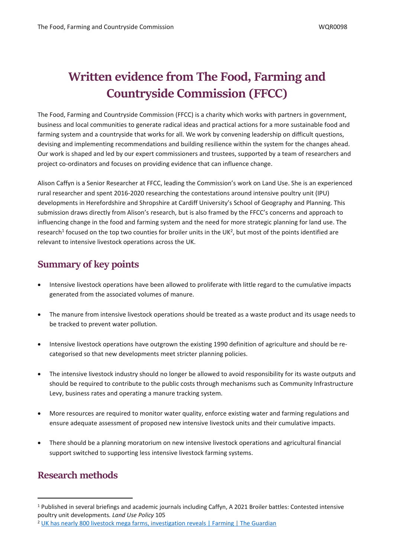# **Written evidence from The Food, Farming and Countryside Commission (FFCC)**

The Food, Farming and Countryside Commission (FFCC) is a charity which works with partners in government, business and local communities to generate radical ideas and practical actions for a more sustainable food and farming system and a countryside that works for all. We work by convening leadership on difficult questions, devising and implementing recommendations and building resilience within the system for the changes ahead. Our work is shaped and led by our expert commissioners and trustees, supported by a team of researchers and project co-ordinators and focuses on providing evidence that can influence change.

Alison Caffyn is a Senior Researcher at FFCC, leading the Commission's work on Land Use. She is an experienced rural researcher and spent 2016-2020 researching the contestations around intensive poultry unit (IPU) developments in Herefordshire and Shropshire at Cardiff University's School of Geography and Planning. This submission draws directly from Alison's research, but is also framed by the FFCC's concerns and approach to influencing change in the food and farming system and the need for more strategic planning for land use. The research<sup>1</sup> focused on the top two counties for broiler units in the UK<sup>2</sup>, but most of the points identified are relevant to intensive livestock operations across the UK.

# **Summary of key points**

- Intensive livestock operations have been allowed to proliferate with little regard to the cumulative impacts generated from the associated volumes of manure.
- The manure from intensive livestock operations should be treated as a waste product and its usage needs to be tracked to prevent water pollution.
- Intensive livestock operations have outgrown the existing 1990 definition of agriculture and should be recategorised so that new developments meet stricter planning policies.
- The intensive livestock industry should no longer be allowed to avoid responsibility for its waste outputs and should be required to contribute to the public costs through mechanisms such as Community Infrastructure Levy, business rates and operating a manure tracking system.
- More resources are required to monitor water quality, enforce existing water and farming regulations and ensure adequate assessment of proposed new intensive livestock units and their cumulative impacts.
- There should be a planning moratorium on new intensive livestock operations and agricultural financial support switched to supporting less intensive livestock farming systems.

# **Research methods**

<sup>1</sup> Published in several briefings and academic journals including Caffyn, A 2021 Broiler battles: Contested intensive poultry unit developments*. Land Use Policy* 105

<sup>2</sup> [UK](https://www.theguardian.com/environment/2017/jul/17/uk-has-nearly-800-livestock-mega-farms-investigation-reveals) [has](https://www.theguardian.com/environment/2017/jul/17/uk-has-nearly-800-livestock-mega-farms-investigation-reveals) [nearly](https://www.theguardian.com/environment/2017/jul/17/uk-has-nearly-800-livestock-mega-farms-investigation-reveals) [800](https://www.theguardian.com/environment/2017/jul/17/uk-has-nearly-800-livestock-mega-farms-investigation-reveals) [livestock](https://www.theguardian.com/environment/2017/jul/17/uk-has-nearly-800-livestock-mega-farms-investigation-reveals) [mega](https://www.theguardian.com/environment/2017/jul/17/uk-has-nearly-800-livestock-mega-farms-investigation-reveals) [farms,](https://www.theguardian.com/environment/2017/jul/17/uk-has-nearly-800-livestock-mega-farms-investigation-reveals) [investigation](https://www.theguardian.com/environment/2017/jul/17/uk-has-nearly-800-livestock-mega-farms-investigation-reveals) [reveals](https://www.theguardian.com/environment/2017/jul/17/uk-has-nearly-800-livestock-mega-farms-investigation-reveals) [|](https://www.theguardian.com/environment/2017/jul/17/uk-has-nearly-800-livestock-mega-farms-investigation-reveals) [Farming](https://www.theguardian.com/environment/2017/jul/17/uk-has-nearly-800-livestock-mega-farms-investigation-reveals) [|](https://www.theguardian.com/environment/2017/jul/17/uk-has-nearly-800-livestock-mega-farms-investigation-reveals) [The](https://www.theguardian.com/environment/2017/jul/17/uk-has-nearly-800-livestock-mega-farms-investigation-reveals) [Guardian](https://www.theguardian.com/environment/2017/jul/17/uk-has-nearly-800-livestock-mega-farms-investigation-reveals)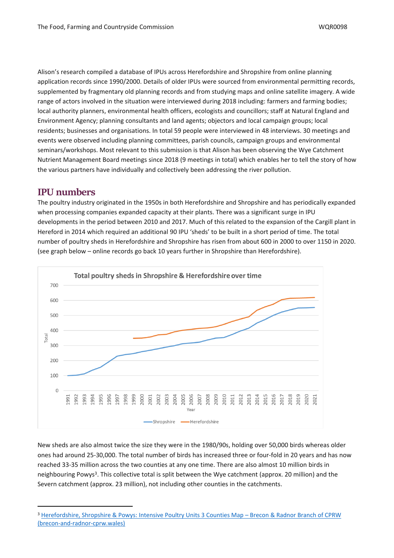Alison's research compiled a database of IPUs across Herefordshire and Shropshire from online planning application records since 1990/2000. Details of older IPUs were sourced from environmental permitting records, supplemented by fragmentary old planning records and from studying maps and online satellite imagery. A wide range of actors involved in the situation were interviewed during 2018 including: farmers and farming bodies; local authority planners, environmental health officers, ecologists and councillors; staff at Natural England and Environment Agency; planning consultants and land agents; objectors and local campaign groups; local residents; businesses and organisations. In total 59 people were interviewed in 48 interviews. 30 meetings and events were observed including planning committees, parish councils, campaign groups and environmental seminars/workshops. Most relevant to this submission is that Alison has been observing the Wye Catchment Nutrient Management Board meetings since 2018 (9 meetings in total) which enables her to tell the story of how the various partners have individually and collectively been addressing the river pollution.

## **IPU numbers**

The poultry industry originated in the 1950s in both Herefordshire and Shropshire and has periodically expanded when processing companies expanded capacity at their plants. There was a significant surge in IPU developments in the period between 2010 and 2017. Much of this related to the expansion of the Cargill plant in Hereford in 2014 which required an additional 90 IPU 'sheds' to be built in a short period of time. The total number of poultry sheds in Herefordshire and Shropshire has risen from about 600 in 2000 to over 1150 in 2020. (see graph below – online records go back 10 years further in Shropshire than Herefordshire).



New sheds are also almost twice the size they were in the 1980/90s, holding over 50,000 birds whereas older ones had around 25-30,000. The total number of birds has increased three or four-fold in 20 years and has now reached 33-35 million across the two counties at any one time. There are also almost 10 million birds in neighbouring Powys<sup>3</sup>. This collective total is split between the Wye catchment (approx. 20 million) and the Severn catchment (approx. 23 million), not including other counties in the catchments.

<sup>3</sup> [Herefordshire,](https://www.brecon-and-radnor-cprw.wales/?page_id=1513) [Shropshire](https://www.brecon-and-radnor-cprw.wales/?page_id=1513) [&](https://www.brecon-and-radnor-cprw.wales/?page_id=1513) [Powys:](https://www.brecon-and-radnor-cprw.wales/?page_id=1513) [Intensive](https://www.brecon-and-radnor-cprw.wales/?page_id=1513) [Poultry](https://www.brecon-and-radnor-cprw.wales/?page_id=1513) [Units](https://www.brecon-and-radnor-cprw.wales/?page_id=1513) [3](https://www.brecon-and-radnor-cprw.wales/?page_id=1513) [Counties](https://www.brecon-and-radnor-cprw.wales/?page_id=1513) [Map](https://www.brecon-and-radnor-cprw.wales/?page_id=1513) [–](https://www.brecon-and-radnor-cprw.wales/?page_id=1513) [Brecon](https://www.brecon-and-radnor-cprw.wales/?page_id=1513) [&](https://www.brecon-and-radnor-cprw.wales/?page_id=1513) [Radnor](https://www.brecon-and-radnor-cprw.wales/?page_id=1513) [Branch](https://www.brecon-and-radnor-cprw.wales/?page_id=1513) [of](https://www.brecon-and-radnor-cprw.wales/?page_id=1513) [CPRW](https://www.brecon-and-radnor-cprw.wales/?page_id=1513) [\(brecon-and-radnor-cprw.wales\)](https://www.brecon-and-radnor-cprw.wales/?page_id=1513)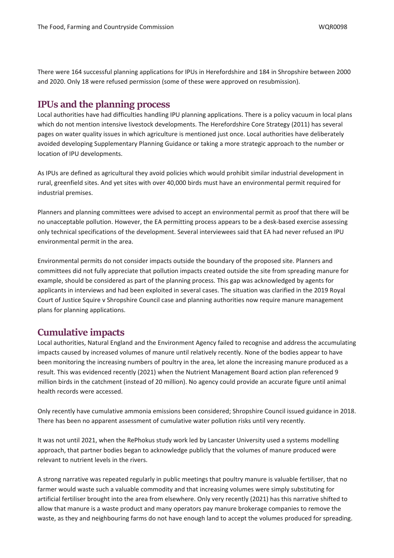There were 164 successful planning applications for IPUs in Herefordshire and 184 in Shropshire between 2000 and 2020. Only 18 were refused permission (some of these were approved on resubmission).

### **IPUs and the planning process**

Local authorities have had difficulties handling IPU planning applications. There is a policy vacuum in local plans which do not mention intensive livestock developments. The Herefordshire Core Strategy (2011) has several pages on water quality issues in which agriculture is mentioned just once. Local authorities have deliberately avoided developing Supplementary Planning Guidance or taking a more strategic approach to the number or location of IPU developments.

As IPUs are defined as agricultural they avoid policies which would prohibit similar industrial development in rural, greenfield sites. And yet sites with over 40,000 birds must have an environmental permit required for industrial premises.

Planners and planning committees were advised to accept an environmental permit as proof that there will be no unacceptable pollution. However, the EA permitting process appears to be a desk-based exercise assessing only technical specifications of the development. Several interviewees said that EA had never refused an IPU environmental permit in the area.

Environmental permits do not consider impacts outside the boundary of the proposed site. Planners and committees did not fully appreciate that pollution impacts created outside the site from spreading manure for example, should be considered as part of the planning process. This gap was acknowledged by agents for applicants in interviews and had been exploited in several cases. The situation was clarified in the 2019 Royal Court of Justice Squire v Shropshire Council case and planning authorities now require manure management plans for planning applications.

# **Cumulative impacts**

Local authorities, Natural England and the Environment Agency failed to recognise and address the accumulating impacts caused by increased volumes of manure until relatively recently. None of the bodies appear to have been monitoring the increasing numbers of poultry in the area, let alone the increasing manure produced as a result. This was evidenced recently (2021) when the Nutrient Management Board action plan referenced 9 million birds in the catchment (instead of 20 million). No agency could provide an accurate figure until animal health records were accessed.

Only recently have cumulative ammonia emissions been considered; Shropshire Council issued guidance in 2018. There has been no apparent assessment of cumulative water pollution risks until very recently.

It was not until 2021, when the RePhokus study work led by Lancaster University used a systems modelling approach, that partner bodies began to acknowledge publicly that the volumes of manure produced were relevant to nutrient levels in the rivers.

A strong narrative was repeated regularly in public meetings that poultry manure is valuable fertiliser, that no farmer would waste such a valuable commodity and that increasing volumes were simply substituting for artificial fertiliser brought into the area from elsewhere. Only very recently (2021) has this narrative shifted to allow that manure is a waste product and many operators pay manure brokerage companies to remove the waste, as they and neighbouring farms do not have enough land to accept the volumes produced for spreading.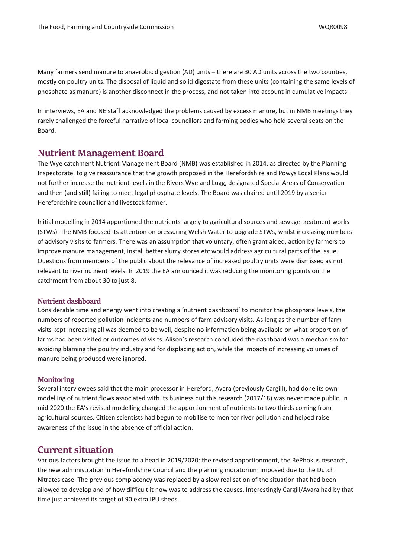Many farmers send manure to anaerobic digestion (AD) units – there are 30 AD units across the two counties, mostly on poultry units. The disposal of liquid and solid digestate from these units (containing the same levels of phosphate as manure) is another disconnect in the process, and not taken into account in cumulative impacts.

In interviews, EA and NE staff acknowledged the problems caused by excess manure, but in NMB meetings they rarely challenged the forceful narrative of local councillors and farming bodies who held several seats on the Board.

### **Nutrient Management Board**

The Wye catchment Nutrient Management Board (NMB) was established in 2014, as directed by the Planning Inspectorate, to give reassurance that the growth proposed in the Herefordshire and Powys Local Plans would not further increase the nutrient levels in the Rivers Wye and Lugg, designated Special Areas of Conservation and then (and still) failing to meet legal phosphate levels. The Board was chaired until 2019 by a senior Herefordshire councillor and livestock farmer.

Initial modelling in 2014 apportioned the nutrients largely to agricultural sources and sewage treatment works (STWs). The NMB focused its attention on pressuring Welsh Water to upgrade STWs, whilst increasing numbers of advisory visits to farmers. There was an assumption that voluntary, often grant aided, action by farmers to improve manure management, install better slurry stores etc would address agricultural parts of the issue. Questions from members of the public about the relevance of increased poultry units were dismissed as not relevant to river nutrient levels. In 2019 the EA announced it was reducing the monitoring points on the catchment from about 30 to just 8.

#### **Nutrient dashboard**

Considerable time and energy went into creating a 'nutrient dashboard' to monitor the phosphate levels, the numbers of reported pollution incidents and numbers of farm advisory visits. As long as the number of farm visits kept increasing all was deemed to be well, despite no information being available on what proportion of farms had been visited or outcomes of visits. Alison's research concluded the dashboard was a mechanism for avoiding blaming the poultry industry and for displacing action, while the impacts of increasing volumes of manure being produced were ignored.

#### **Monitoring**

Several interviewees said that the main processor in Hereford, Avara (previously Cargill), had done its own modelling of nutrient flows associated with its business but this research (2017/18) was never made public. In mid 2020 the EA's revised modelling changed the apportionment of nutrients to two thirds coming from agricultural sources. Citizen scientists had begun to mobilise to monitor river pollution and helped raise awareness of the issue in the absence of official action.

# **Current situation**

Various factors brought the issue to a head in 2019/2020: the revised apportionment, the RePhokus research, the new administration in Herefordshire Council and the planning moratorium imposed due to the Dutch Nitrates case. The previous complacency was replaced by a slow realisation of the situation that had been allowed to develop and of how difficult it now was to address the causes. Interestingly Cargill/Avara had by that time just achieved its target of 90 extra IPU sheds.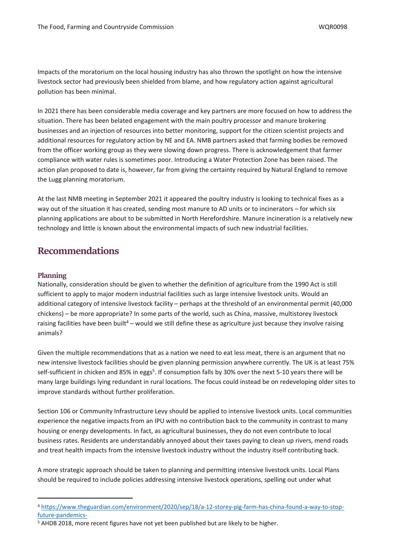Impacts of the moratorium on the local housing industry has also thrown the spotlight on how the intensive livestock sector had previously been shielded from blame, and how regulatory action against agricultural pollution has been minimal.

In 2021 there has been considerable media coverage and key partners are more focused on how to address the situation. There has been belated engagement with the main poultry processor and manure brokering businesses and an injection of resources into better monitoring, support for the citizen scientist projects and additional resources for regulatory action by NE and EA. NMB partners asked that farming bodies be removed from the officer working group as they were slowing down progress. There is acknowledgement that farmer compliance with water rules is sometimes poor. Introducing a Water Protection Zone has been raised. The action plan proposed to date is, however, far from giving the certainty required by Natural England to remove the Lugg planning moratorium.

At the last NMB meeting in September 2021 it appeared the poultry industry is looking to technical fixes as a way out of the situation it has created, sending most manure to AD units or to incinerators – for which six planning applications are about to be submitted in North Herefordshire. Manure incineration is a relatively new technology and little is known about the environmental impacts of such new industrial facilities.

# **Recommendations**

#### **Planning**

Nationally, consideration should be given to whether the definition of agriculture from the 1990 Act is still sufficient to apply to major modern industrial facilities such as large intensive livestock units. Would an additional category of intensive livestock facility – perhaps at the threshold of an environmental permit (40,000 chickens) – be more appropriate? In some parts of the world, such as China, massive, multistorey livestock raising facilities have been built<sup>4</sup> – would we still define these as agriculture just because they involve raising animals?

Given the multiple recommendations that as a nation we need to eat less meat, there is an argument that no new intensive livestock facilities should be given planning permission anywhere currently. The UK is at least 75% self-sufficient in chicken and 85% in eggs<sup>5</sup>. If consumption falls by 30% over the next 5-10 years there will be many large buildings lying redundant in rural locations. The focus could instead be on redeveloping older sites to improve standards without further proliferation.

Section 106 or Community Infrastructure Levy should be applied to intensive livestock units. Local communities experience the negative impacts from an IPU with no contribution back to the community in contrast to many housing or energy developments. In fact, as agricultural businesses, they do not even contribute to local business rates. Residents are understandably annoyed about their taxes paying to clean up rivers, mend roads and treat health impacts from the intensive livestock industry without the industry itself contributing back.

A more strategic approach should be taken to planning and permitting intensive livestock units. Local Plans should be required to include policies addressing intensive livestock operations, spelling out under what

<sup>4</sup> [https://www.theguardian.com/environment/2020/sep/18/a-12-storey-pig-farm-has-china-found-a-way-to-stop](https://www.theguardian.com/environment/2020/sep/18/a-12-storey-pig-farm-has-china-found-a-way-to-stop-future-pandemics-)[future-pandemics-](https://www.theguardian.com/environment/2020/sep/18/a-12-storey-pig-farm-has-china-found-a-way-to-stop-future-pandemics-)

<sup>5</sup> AHDB 2018, more recent figures have not yet been published but are likely to be higher.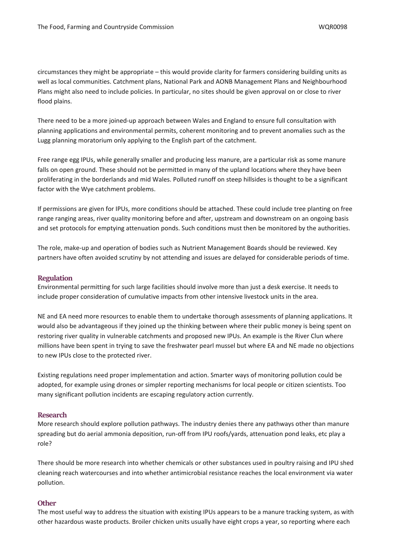circumstances they might be appropriate – this would provide clarity for farmers considering building units as well as local communities. Catchment plans, National Park and AONB Management Plans and Neighbourhood Plans might also need to include policies. In particular, no sites should be given approval on or close to river flood plains.

There need to be a more joined-up approach between Wales and England to ensure full consultation with planning applications and environmental permits, coherent monitoring and to prevent anomalies such as the Lugg planning moratorium only applying to the English part of the catchment.

Free range egg IPUs, while generally smaller and producing less manure, are a particular risk as some manure falls on open ground. These should not be permitted in many of the upland locations where they have been proliferating in the borderlands and mid Wales. Polluted runoff on steep hillsides is thought to be a significant factor with the Wye catchment problems.

If permissions are given for IPUs, more conditions should be attached. These could include tree planting on free range ranging areas, river quality monitoring before and after, upstream and downstream on an ongoing basis and set protocols for emptying attenuation ponds. Such conditions must then be monitored by the authorities.

The role, make-up and operation of bodies such as Nutrient Management Boards should be reviewed. Key partners have often avoided scrutiny by not attending and issues are delayed for considerable periods of time.

#### **Regulation**

Environmental permitting for such large facilities should involve more than just a desk exercise. It needs to include proper consideration of cumulative impacts from other intensive livestock units in the area.

NE and EA need more resources to enable them to undertake thorough assessments of planning applications. It would also be advantageous if they joined up the thinking between where their public money is being spent on restoring river quality in vulnerable catchments and proposed new IPUs. An example is the River Clun where millions have been spent in trying to save the freshwater pearl mussel but where EA and NE made no objections to new IPUs close to the protected river.

Existing regulations need proper implementation and action. Smarter ways of monitoring pollution could be adopted, for example using drones or simpler reporting mechanisms for local people or citizen scientists. Too many significant pollution incidents are escaping regulatory action currently.

#### **Research**

More research should explore pollution pathways. The industry denies there any pathways other than manure spreading but do aerial ammonia deposition, run-off from IPU roofs/yards, attenuation pond leaks, etc play a role?

There should be more research into whether chemicals or other substances used in poultry raising and IPU shed cleaning reach watercourses and into whether antimicrobial resistance reaches the local environment via water pollution.

#### **Other**

The most useful way to address the situation with existing IPUs appears to be a manure tracking system, as with other hazardous waste products. Broiler chicken units usually have eight crops a year, so reporting where each